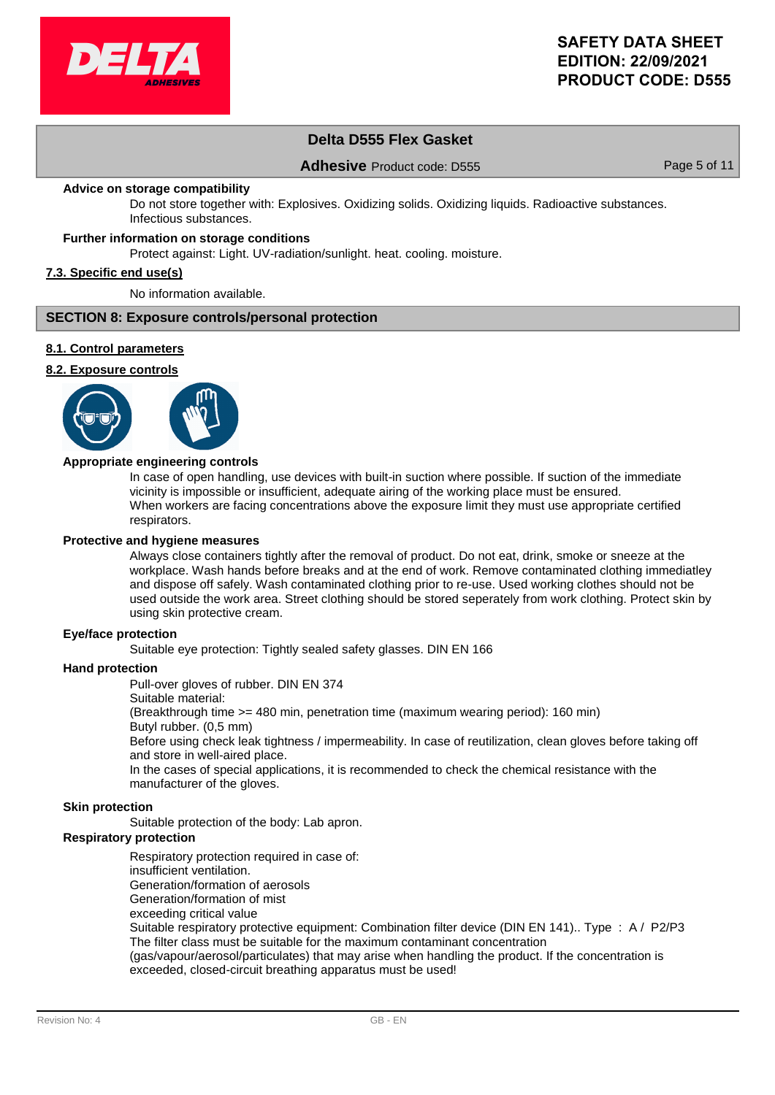

# **Delta D555 Flex Gasket**

## **Adhesive** Product code: D555 Page 5 of 11

#### **Advice on storage compatibility**

Do not store together with: Explosives. Oxidizing solids. Oxidizing liquids. Radioactive substances. Infectious substances.

## **Further information on storage conditions**

Protect against: Light. UV-radiation/sunlight. heat. cooling. moisture.

#### **7.3. Specific end use(s)**

No information available.

#### **SECTION 8: Exposure controls/personal protection**

#### **8.1. Control parameters**

## **8.2. Exposure controls**



#### **Appropriate engineering controls**

In case of open handling, use devices with built-in suction where possible. If suction of the immediate vicinity is impossible or insufficient, adequate airing of the working place must be ensured. When workers are facing concentrations above the exposure limit they must use appropriate certified respirators.

#### **Protective and hygiene measures**

Always close containers tightly after the removal of product. Do not eat, drink, smoke or sneeze at the workplace. Wash hands before breaks and at the end of work. Remove contaminated clothing immediatley and dispose off safely. Wash contaminated clothing prior to re-use. Used working clothes should not be used outside the work area. Street clothing should be stored seperately from work clothing. Protect skin by using skin protective cream.

#### **Eye/face protection**

Suitable eve protection: Tightly sealed safety glasses. DIN EN 166

#### **Hand protection**

Pull-over gloves of rubber. DIN EN 374

Suitable material:

(Breakthrough time >= 480 min, penetration time (maximum wearing period): 160 min)

Butyl rubber. (0,5 mm)

Before using check leak tightness / impermeability. In case of reutilization, clean gloves before taking off and store in well-aired place.

In the cases of special applications, it is recommended to check the chemical resistance with the manufacturer of the gloves.

#### **Skin protection**

Suitable protection of the body: Lab apron.

#### **Respiratory protection**

Respiratory protection required in case of:

- insufficient ventilation.
- Generation/formation of aerosols
- Generation/formation of mist
- exceeding critical value

Suitable respiratory protective equipment: Combination filter device (DIN EN 141).. Type : A / P2/P3 The filter class must be suitable for the maximum contaminant concentration

(gas/vapour/aerosol/particulates) that may arise when handling the product. If the concentration is exceeded, closed-circuit breathing apparatus must be used!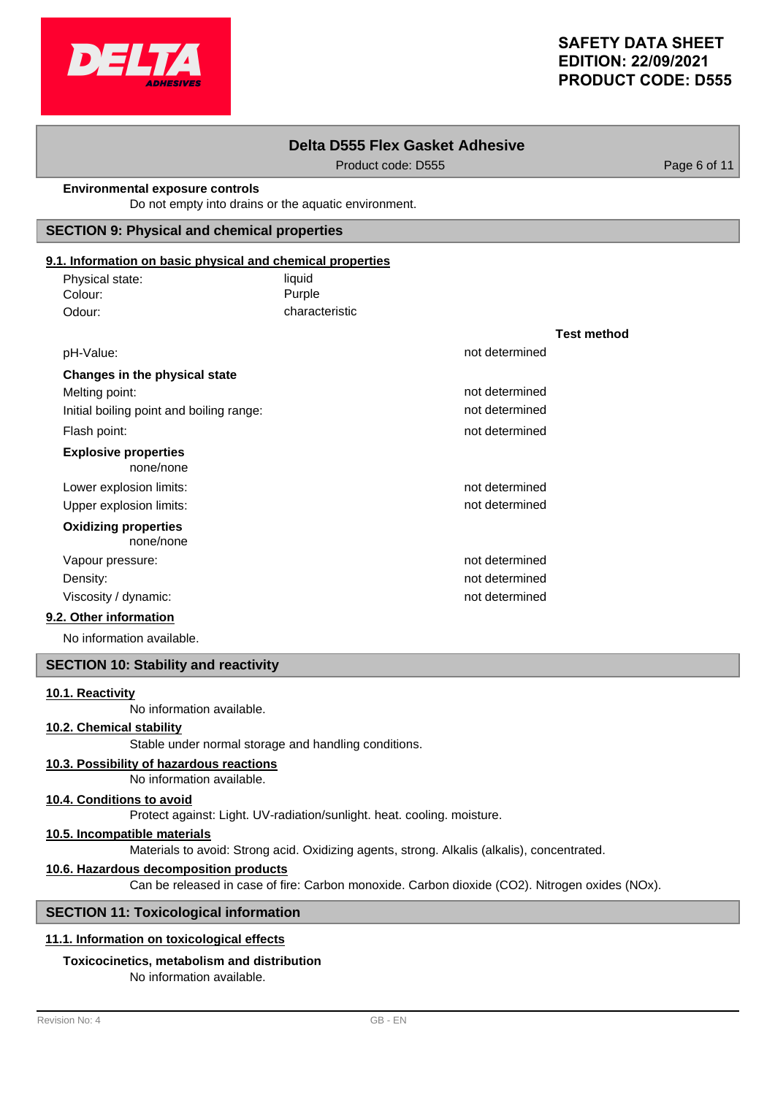

**Test method**

# **Delta D555 Flex Gasket Adhesive**

Product code: D555 Product code: D555

#### **Environmental exposure controls**

Do not empty into drains or the aquatic environment.

## **SECTION 9: Physical and chemical properties**

# **9.1. Information on basic physical and chemical properties**

| Physical state: | liquid         |
|-----------------|----------------|
| Colour:         | Purple         |
| Odour:          | characteristic |

| pH-Value:                                | not determined |
|------------------------------------------|----------------|
| Changes in the physical state            |                |
| Melting point:                           | not determined |
| Initial boiling point and boiling range: | not determined |
| Flash point:                             | not determined |
| <b>Explosive properties</b><br>none/none |                |
| Lower explosion limits:                  | not determined |
| Upper explosion limits:                  | not determined |
| <b>Oxidizing properties</b><br>none/none |                |
| Vapour pressure:                         | not determined |
| Density:                                 | not determined |
| Viscosity / dynamic:                     | not determined |
| $\Delta t = 1.5$                         |                |

## **9.2. Other information**

No information available.

# **SECTION 10: Stability and reactivity**

# **10.1. Reactivity**

No information available.

# **10.2. Chemical stability**

Stable under normal storage and handling conditions.

# **10.3. Possibility of hazardous reactions**

No information available.

#### **10.4. Conditions to avoid**

Protect against: Light. UV-radiation/sunlight. heat. cooling. moisture.

## **10.5. Incompatible materials**

Materials to avoid: Strong acid. Oxidizing agents, strong. Alkalis (alkalis), concentrated.

### **10.6. Hazardous decomposition products**

Can be released in case of fire: Carbon monoxide. Carbon dioxide (CO2). Nitrogen oxides (NOx).

#### **SECTION 11: Toxicological information**

# **11.1. Information on toxicological effects**

# **Toxicocinetics, metabolism and distribution**

No information available.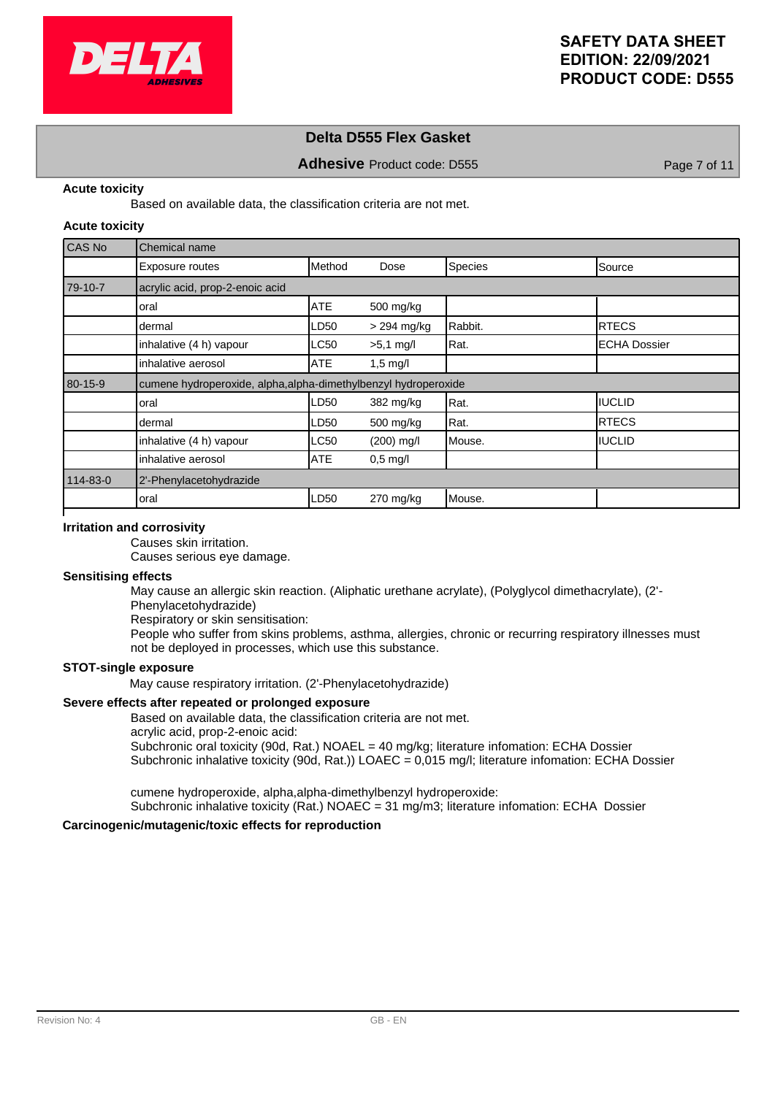

# **Delta D555 Flex Gasket**

**Adhesive** Product code: D555 Page 7 of 11

#### **Acute toxicity**

Based on available data, the classification criteria are not met.

#### **Acute toxicity**

| CAS No   | Chemical name                                                   |            |               |         |                      |  |
|----------|-----------------------------------------------------------------|------------|---------------|---------|----------------------|--|
|          | Exposure routes                                                 | Method     | Dose          | Species | Source               |  |
| 79-10-7  | acrylic acid, prop-2-enoic acid                                 |            |               |         |                      |  |
|          | loral                                                           | <b>ATE</b> | 500 mg/kg     |         |                      |  |
|          | dermal                                                          | LD50       | $>$ 294 mg/kg | Rabbit. | IRTECS               |  |
|          | inhalative (4 h) vapour                                         | LC50       | $>5,1$ mg/l   | Rat.    | <b>IECHA Dossier</b> |  |
|          | inhalative aerosol                                              | ATE        | $1,5$ mg/l    |         |                      |  |
| 80-15-9  | cumene hydroperoxide, alpha, alpha-dimethylbenzyl hydroperoxide |            |               |         |                      |  |
|          | oral                                                            | LD50       | 382 mg/kg     | Rat.    | <b>IIUCLID</b>       |  |
|          | dermal                                                          | LD50       | 500 mg/kg     | Rat.    | <b>RTECS</b>         |  |
|          | inhalative (4 h) vapour                                         | LC50       | $(200)$ mg/l  | Mouse.  | <b>IIUCLID</b>       |  |
|          | inhalative aerosol                                              | <b>ATE</b> | $0,5$ mg/l    |         |                      |  |
| 114-83-0 | 2'-Phenylacetohydrazide                                         |            |               |         |                      |  |
|          | oral                                                            | LD50       | $270$ mg/kg   | Mouse.  |                      |  |

#### **Irritation and corrosivity**

Causes skin irritation.

Causes serious eye damage.

# **Sensitising effects**

May cause an allergic skin reaction. (Aliphatic urethane acrylate), (Polyglycol dimethacrylate), (2'- Phenylacetohydrazide)

Respiratory or skin sensitisation:

People who suffer from skins problems, asthma, allergies, chronic or recurring respiratory illnesses must not be deployed in processes, which use this substance.

## **STOT-single exposure**

May cause respiratory irritation. (2'-Phenylacetohydrazide)

#### **Severe effects after repeated or prolonged exposure**

Based on available data, the classification criteria are not met.

acrylic acid, prop-2-enoic acid:

Subchronic oral toxicity (90d, Rat.) NOAEL = 40 mg/kg; literature infomation: ECHA Dossier Subchronic inhalative toxicity (90d, Rat.)) LOAEC = 0,015 mg/l; literature infomation: ECHA Dossier

cumene hydroperoxide, alpha,alpha-dimethylbenzyl hydroperoxide:

Subchronic inhalative toxicity (Rat.) NOAEC = 31 mg/m3; literature infomation: ECHA Dossier

### **Carcinogenic/mutagenic/toxic effects for reproduction**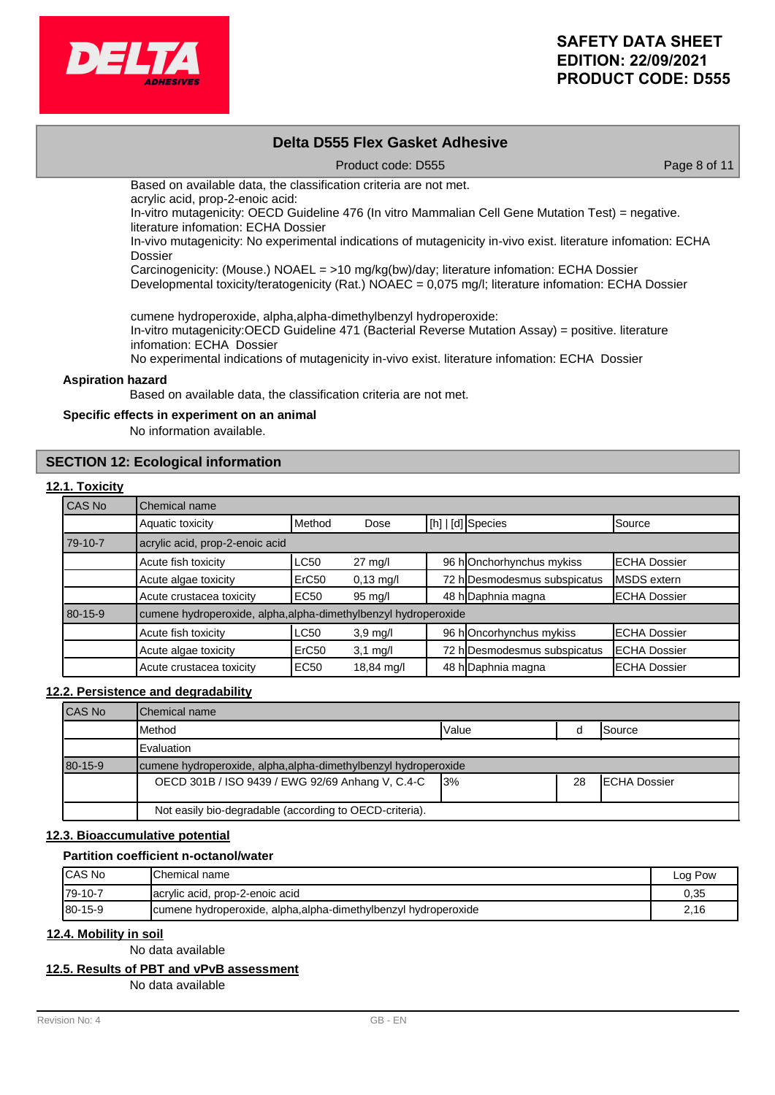

# **Delta D555 Flex Gasket Adhesive**

Product code: D555 Product code: D555

Based on available data, the classification criteria are not met.

acrylic acid, prop-2-enoic acid:

In-vitro mutagenicity: OECD Guideline 476 (In vitro Mammalian Cell Gene Mutation Test) = negative. literature infomation: ECHA Dossier

In-vivo mutagenicity: No experimental indications of mutagenicity in-vivo exist. literature infomation: ECHA Dossier

Carcinogenicity: (Mouse.) NOAEL = >10 mg/kg(bw)/day; literature infomation: ECHA Dossier

Developmental toxicity/teratogenicity (Rat.) NOAEC = 0,075 mg/l; literature infomation: ECHA Dossier

cumene hydroperoxide, alpha,alpha-dimethylbenzyl hydroperoxide:

In-vitro mutagenicity:OECD Guideline 471 (Bacterial Reverse Mutation Assay) = positive. literature infomation: ECHA Dossier

No experimental indications of mutagenicity in-vivo exist. literature infomation: ECHA Dossier

#### **Aspiration hazard**

Based on available data, the classification criteria are not met.

#### **Specific effects in experiment on an animal**

No information available.

# **SECTION 12: Ecological information**

#### **12.1. Toxicity**

| CAS No  | Chemical name                                                   |                   |                     |  |                              |                      |
|---------|-----------------------------------------------------------------|-------------------|---------------------|--|------------------------------|----------------------|
|         | Aquatic toxicity                                                | Method            | Dose                |  | [[h]   [d] Species           | Source               |
| 79-10-7 | acrylic acid, prop-2-enoic acid                                 |                   |                     |  |                              |                      |
|         | Acute fish toxicity                                             | <b>LC50</b>       | $27 \text{ mg/l}$   |  | 96 hOnchorhynchus mykiss     | <b>IECHA Dossier</b> |
|         | Acute algae toxicity                                            | ErC <sub>50</sub> | $0,13 \text{ mg/l}$ |  | 72 h Desmodesmus subspicatus | <b>IMSDS</b> extern  |
|         | Acute crustacea toxicity                                        | <b>EC50</b>       | 95 mg/l             |  | 48 h Daphnia magna           | <b>ECHA Dossier</b>  |
| 80-15-9 | cumene hydroperoxide, alpha, alpha-dimethylbenzyl hydroperoxide |                   |                     |  |                              |                      |
|         | Acute fish toxicity                                             | <b>LC50</b>       | $3,9$ mg/l          |  | 96 hOncorhynchus mykiss      | <b>IECHA Dossier</b> |
|         | Acute algae toxicity                                            | ErC <sub>50</sub> | $3,1$ mg/l          |  | 72 h Desmodesmus subspicatus | <b>IECHA Dossier</b> |
|         | Acute crustacea toxicity                                        | <b>EC50</b>       | 18,84 mg/l          |  | 48 h Daphnia magna           | <b>IECHA Dossier</b> |

### **12.2. Persistence and degradability**

| <b>CAS No</b> | <b>IChemical name</b>                                           |       |    |                      |  |  |
|---------------|-----------------------------------------------------------------|-------|----|----------------------|--|--|
|               | <b>I</b> Method                                                 | Value |    | ISource              |  |  |
|               | Evaluation                                                      |       |    |                      |  |  |
| 80-15-9       | cumene hydroperoxide, alpha, alpha-dimethylbenzyl hydroperoxide |       |    |                      |  |  |
|               | OECD 301B / ISO 9439 / EWG 92/69 Anhang V, C.4-C                | 13%   | 28 | <b>IECHA Dossier</b> |  |  |
|               | Not easily bio-degradable (according to OECD-criteria).         |       |    |                      |  |  |

# **12.3. Bioaccumulative potential**

#### **Partition coefficient n-octanol/water**

| <b>ICAS No</b> | IChemical name                                                  | Log Pow |
|----------------|-----------------------------------------------------------------|---------|
| $I79-10-7$     | acrylic acid, prop-2-enoic acid                                 | 0,35    |
| $180 - 15 - 9$ | cumene hydroperoxide, alpha, alpha-dimethylbenzyl hydroperoxide | 2.16    |

## **12.4. Mobility in soil**

No data available

### **12.5. Results of PBT and vPvB assessment**

No data available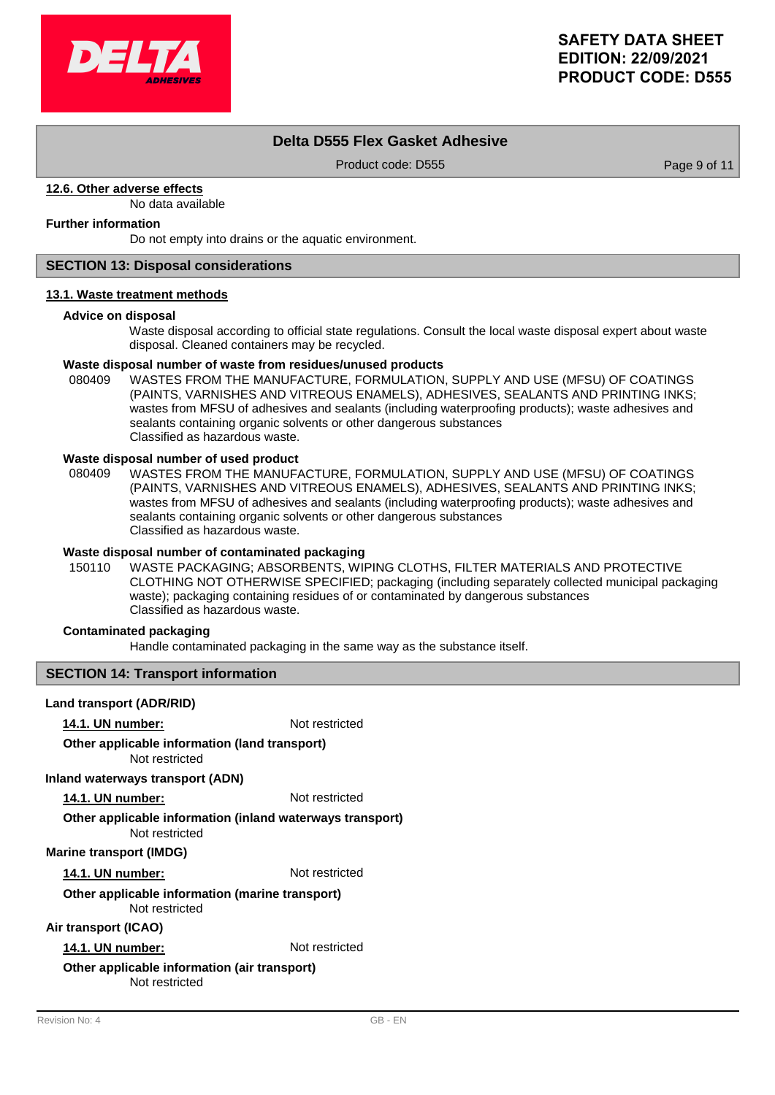

# **Delta D555 Flex Gasket Adhesive**

Product code: D555 Product code: D555

## **12.6. Other adverse effects**

No data available

# **Further information**

Do not empty into drains or the aquatic environment.

# **SECTION 13: Disposal considerations**

#### **13.1. Waste treatment methods**

#### **Advice on disposal**

Waste disposal according to official state regulations. Consult the local waste disposal expert about waste disposal. Cleaned containers may be recycled.

#### **Waste disposal number of waste from residues/unused products**

080409 WASTES FROM THE MANUFACTURE, FORMULATION, SUPPLY AND USE (MFSU) OF COATINGS (PAINTS, VARNISHES AND VITREOUS ENAMELS), ADHESIVES, SEALANTS AND PRINTING INKS; wastes from MFSU of adhesives and sealants (including waterproofing products); waste adhesives and sealants containing organic solvents or other dangerous substances Classified as hazardous waste.

#### **Waste disposal number of used product**

WASTES FROM THE MANUFACTURE, FORMULATION, SUPPLY AND USE (MFSU) OF COATINGS (PAINTS, VARNISHES AND VITREOUS ENAMELS), ADHESIVES, SEALANTS AND PRINTING INKS; wastes from MFSU of adhesives and sealants (including waterproofing products); waste adhesives and sealants containing organic solvents or other dangerous substances Classified as hazardous waste. 080409

# **Waste disposal number of contaminated packaging**

WASTE PACKAGING; ABSORBENTS, WIPING CLOTHS, FILTER MATERIALS AND PROTECTIVE CLOTHING NOT OTHERWISE SPECIFIED; packaging (including separately collected municipal packaging waste); packaging containing residues of or contaminated by dangerous substances Classified as hazardous waste. 150110

# **Contaminated packaging**

Handle contaminated packaging in the same way as the substance itself.

## **SECTION 14: Transport information**

## **Land transport (ADR/RID)**

**14.1. UN number:** Not restricted

#### Not restricted **Other applicable information (land transport)**

## **Inland waterways transport (ADN)**

**14.1. UN number:** Not restricted

# **Other applicable information (inland waterways transport)**

Not restricted

# **Marine transport (IMDG)**

**14.1. UN number:** Not restricted

#### Not restricted **Other applicable information (marine transport)**

## **Air transport (ICAO)**

**14.1. UN number:** Not restricted

#### Not restricted **Other applicable information (air transport)**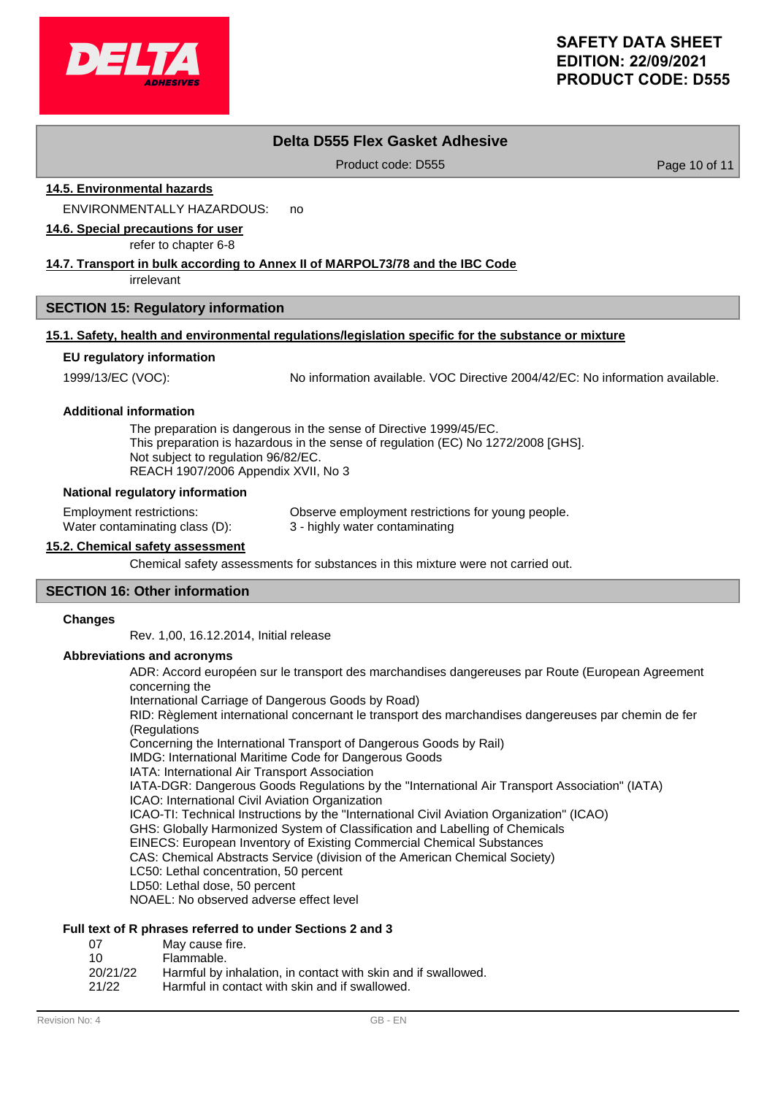

# **Delta D555 Flex Gasket Adhesive**

Product code: D555 Product code: D555

**14.5. Environmental hazards**

ENVIRONMENTALLY HAZARDOUS: no

**14.6. Special precautions for user**

refer to chapter 6-8

# **14.7. Transport in bulk according to Annex II of MARPOL73/78 and the IBC Code**

irrelevant

## **SECTION 15: Regulatory information**

# **15.1. Safety, health and environmental regulations/legislation specific for the substance or mixture**

#### **EU regulatory information**

1999/13/EC (VOC): No information available. VOC Directive 2004/42/EC: No information available.

#### **Additional information**

The preparation is dangerous in the sense of Directive 1999/45/EC. This preparation is hazardous in the sense of regulation (EC) No 1272/2008 [GHS]. Not subject to regulation 96/82/EC. REACH 1907/2006 Appendix XVII, No 3

#### **National regulatory information**

Employment restrictions: Observe employment restrictions for young people. Water contaminating class (D): 3 - highly water contaminating

# **15.2. Chemical safety assessment**

Chemical safety assessments for substances in this mixture were not carried out.

# **SECTION 16: Other information**

#### **Changes**

Rev. 1,00, 16.12.2014, Initial release

#### **Abbreviations and acronyms**

ADR: Accord européen sur le transport des marchandises dangereuses par Route (European Agreement concerning the International Carriage of Dangerous Goods by Road) RID: Règlement international concernant le transport des marchandises dangereuses par chemin de fer (Regulations Concerning the International Transport of Dangerous Goods by Rail) IMDG: International Maritime Code for Dangerous Goods IATA: International Air Transport Association IATA-DGR: Dangerous Goods Regulations by the "International Air Transport Association" (IATA) ICAO: International Civil Aviation Organization ICAO-TI: Technical Instructions by the "International Civil Aviation Organization" (ICAO) GHS: Globally Harmonized System of Classification and Labelling of Chemicals EINECS: European Inventory of Existing Commercial Chemical Substances CAS: Chemical Abstracts Service (division of the American Chemical Society) LC50: Lethal concentration, 50 percent LD50: Lethal dose, 50 percent NOAEL: No observed adverse effect level

# **Full text of R phrases referred to under Sections 2 and 3**

- 07 May cause fire.
- 10 Flammable.
- 20/21/22 Harmful by inhalation, in contact with skin and if swallowed.
- 21/22 Harmful in contact with skin and if swallowed.